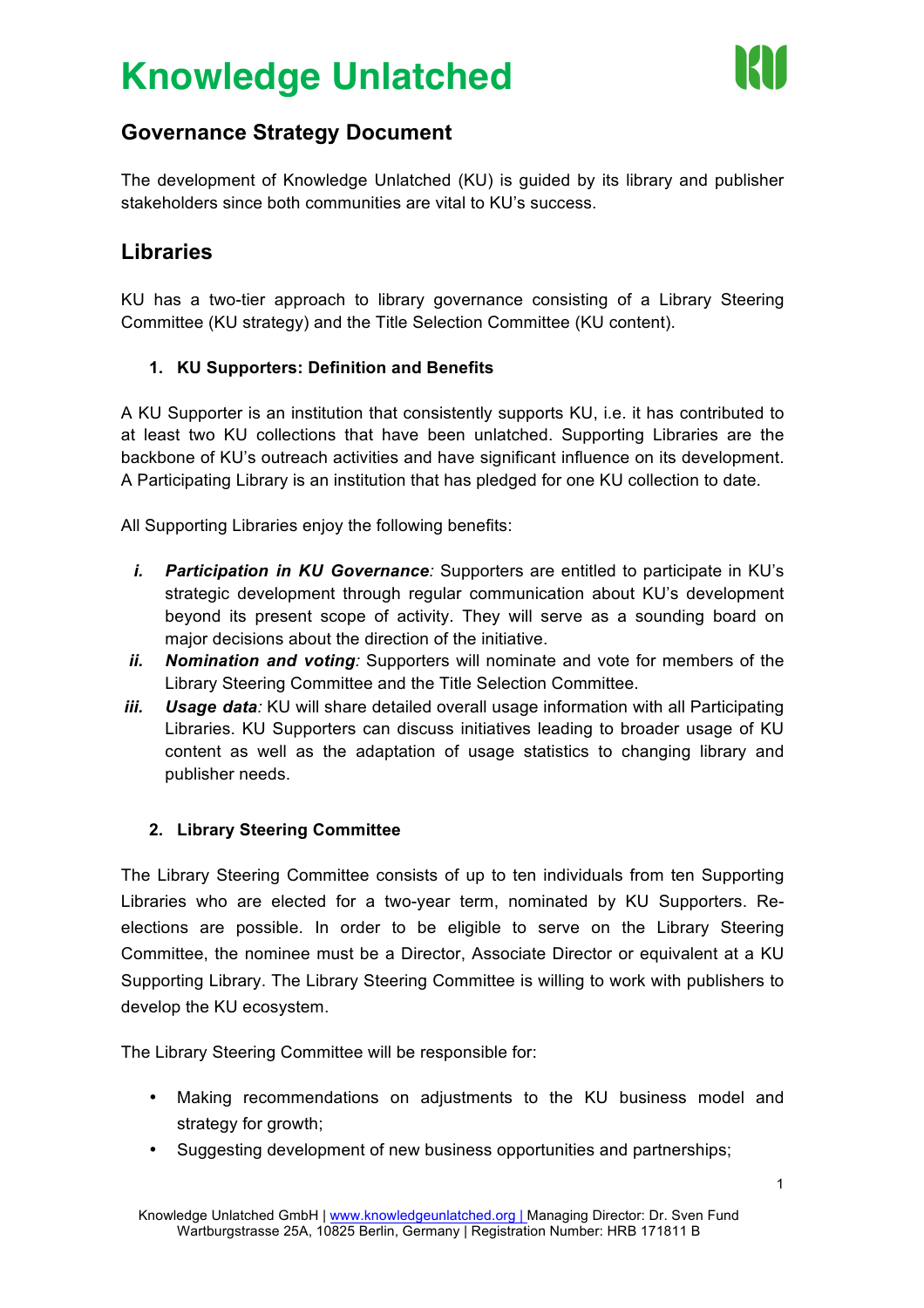## **Knowledge Unlatched**



### **Governance Strategy Document**

The development of Knowledge Unlatched (KU) is guided by its library and publisher stakeholders since both communities are vital to KU's success.

## **Libraries**

KU has a two-tier approach to library governance consisting of a Library Steering Committee (KU strategy) and the Title Selection Committee (KU content).

### **1. KU Supporters: Definition and Benefits**

A KU Supporter is an institution that consistently supports KU, i.e. it has contributed to at least two KU collections that have been unlatched. Supporting Libraries are the backbone of KU's outreach activities and have significant influence on its development. A Participating Library is an institution that has pledged for one KU collection to date.

All Supporting Libraries enjoy the following benefits:

- *i. Participation in KU Governance:* Supporters are entitled to participate in KU's strategic development through regular communication about KU's development beyond its present scope of activity. They will serve as a sounding board on major decisions about the direction of the initiative.
- *ii. Nomination and voting:* Supporters will nominate and vote for members of the Library Steering Committee and the Title Selection Committee.
- *iii. Usage data:* KU will share detailed overall usage information with all Participating Libraries. KU Supporters can discuss initiatives leading to broader usage of KU content as well as the adaptation of usage statistics to changing library and publisher needs.

#### **2. Library Steering Committee**

The Library Steering Committee consists of up to ten individuals from ten Supporting Libraries who are elected for a two-year term, nominated by KU Supporters. Reelections are possible. In order to be eligible to serve on the Library Steering Committee, the nominee must be a Director, Associate Director or equivalent at a KU Supporting Library. The Library Steering Committee is willing to work with publishers to develop the KU ecosystem.

The Library Steering Committee will be responsible for:

- Making recommendations on adjustments to the KU business model and strategy for growth;
- Suggesting development of new business opportunities and partnerships;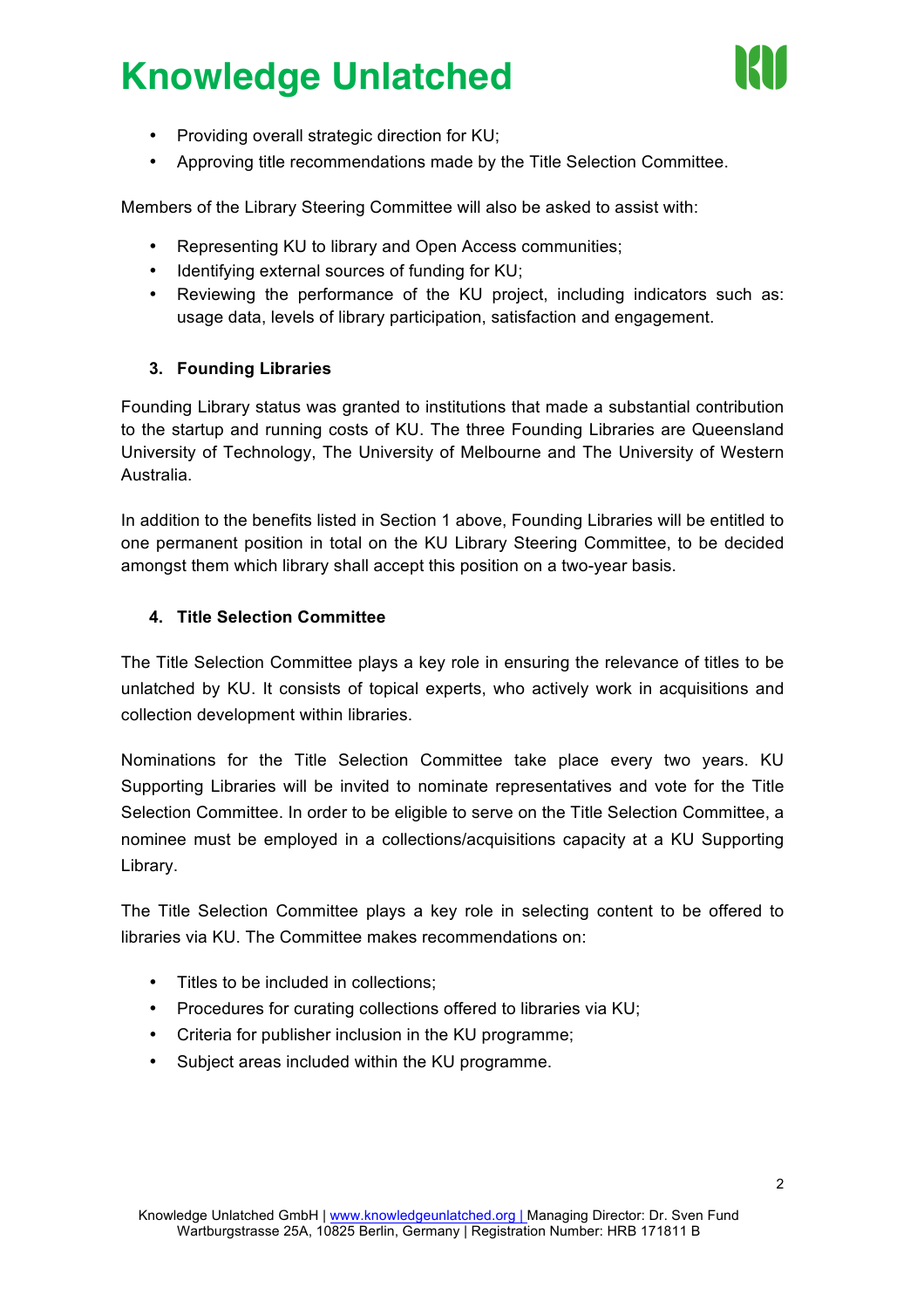# **Knowledge Unlatched**



- Providing overall strategic direction for KU;
- Approving title recommendations made by the Title Selection Committee.

Members of the Library Steering Committee will also be asked to assist with:

- Representing KU to library and Open Access communities;
- Identifying external sources of funding for KU;
- Reviewing the performance of the KU project, including indicators such as: usage data, levels of library participation, satisfaction and engagement.

#### **3. Founding Libraries**

Founding Library status was granted to institutions that made a substantial contribution to the startup and running costs of KU. The three Founding Libraries are Queensland University of Technology, The University of Melbourne and The University of Western Australia.

In addition to the benefits listed in Section 1 above, Founding Libraries will be entitled to one permanent position in total on the KU Library Steering Committee, to be decided amongst them which library shall accept this position on a two-year basis.

#### **4. Title Selection Committee**

The Title Selection Committee plays a key role in ensuring the relevance of titles to be unlatched by KU. It consists of topical experts, who actively work in acquisitions and collection development within libraries.

Nominations for the Title Selection Committee take place every two years. KU Supporting Libraries will be invited to nominate representatives and vote for the Title Selection Committee. In order to be eligible to serve on the Title Selection Committee, a nominee must be employed in a collections/acquisitions capacity at a KU Supporting Library.

The Title Selection Committee plays a key role in selecting content to be offered to libraries via KU. The Committee makes recommendations on:

- Titles to be included in collections;
- Procedures for curating collections offered to libraries via KU;
- Criteria for publisher inclusion in the KU programme;
- Subject areas included within the KU programme.